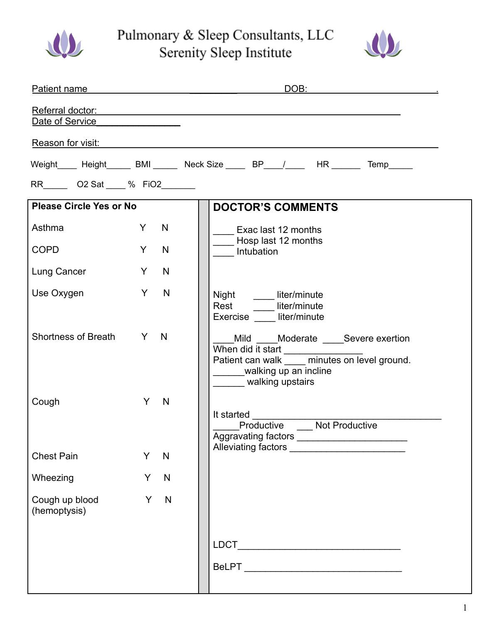

Pulmonary & Sleep Consultants, LLC Serenity Sleep Institute



|                                                                                                                                                                                                                                |          | <u>DOB: ___________________________</u><br>Patient name and the contract of the contract of the contract of the contract of the contract of the contract of the contract of the contract of the contract of the contract of the contract of the contract of the contract |
|--------------------------------------------------------------------------------------------------------------------------------------------------------------------------------------------------------------------------------|----------|--------------------------------------------------------------------------------------------------------------------------------------------------------------------------------------------------------------------------------------------------------------------------|
| Date of Service <b>Date of Service</b>                                                                                                                                                                                         |          | Referral doctor: <u>contractor</u> contractor and contract the contractor of the contractor of the contractor of the contractor of the contractor of the contractor of the contractor of the contractor of the contractor of the co                                      |
| Reason for visit: New York Changes and Changes and Changes and Changes and Changes and Changes and Changes and Changes and Changes and Changes and Changes and Changes and Changes and Changes and Changes and Changes and Cha |          |                                                                                                                                                                                                                                                                          |
|                                                                                                                                                                                                                                |          | Weight____ Height_____ BMI______ Neck Size ____ BP____/____ HR ______ Temp_____                                                                                                                                                                                          |
| RR O2 Sat % FiO2                                                                                                                                                                                                               |          |                                                                                                                                                                                                                                                                          |
| <b>Please Circle Yes or No</b>                                                                                                                                                                                                 |          | <b>DOCTOR'S COMMENTS</b>                                                                                                                                                                                                                                                 |
| Asthma                                                                                                                                                                                                                         | Y -<br>N | Exac last 12 months                                                                                                                                                                                                                                                      |
| <b>COPD</b>                                                                                                                                                                                                                    | Y -<br>N | Intubation                                                                                                                                                                                                                                                               |
| Lung Cancer                                                                                                                                                                                                                    | Y<br>N   |                                                                                                                                                                                                                                                                          |
| Use Oxygen                                                                                                                                                                                                                     | Y<br>N   | Night _______ liter/minute<br>Rest ______ liter/minute<br>Exercise liter/minute                                                                                                                                                                                          |
| Shortness of Breath Y N                                                                                                                                                                                                        |          | Mild ____Moderate ____Severe exertion<br>When did it start ________________<br>Patient can walk <u>minutes</u> on level ground.<br>______walking up an incline<br>_______ walking upstairs                                                                               |
| Cough                                                                                                                                                                                                                          | Y N      | It started $\frac{1}{1}$<br>Productive _____ Not Productive                                                                                                                                                                                                              |
| <b>Chest Pain</b>                                                                                                                                                                                                              | Y<br>N   |                                                                                                                                                                                                                                                                          |
| Wheezing                                                                                                                                                                                                                       | Y<br>N   |                                                                                                                                                                                                                                                                          |
| Cough up blood<br>(hemoptysis)                                                                                                                                                                                                 | Y<br>N   |                                                                                                                                                                                                                                                                          |
|                                                                                                                                                                                                                                |          |                                                                                                                                                                                                                                                                          |
|                                                                                                                                                                                                                                |          |                                                                                                                                                                                                                                                                          |
|                                                                                                                                                                                                                                |          | __ Hosp last 12 months                                                                                                                                                                                                                                                   |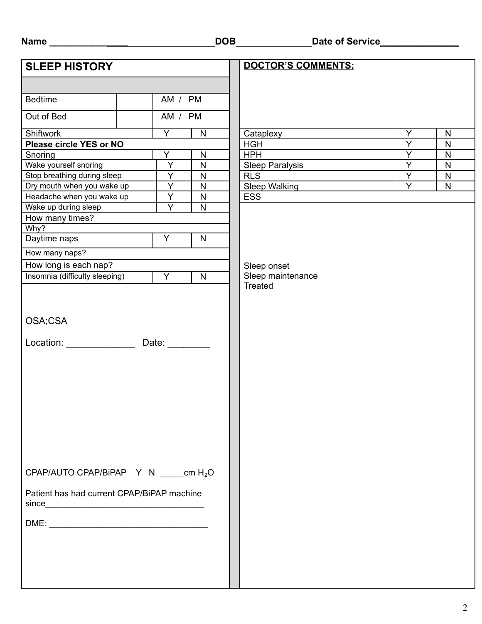| ×<br>۰.<br>۰. |
|---------------|
|---------------|

| <b>SLEEP HISTORY</b>           |                                                                                                                                                                                                                                                                                                                                                                                                                                                                                                                                                                                                                                                                                                                                                                                                                                                                                                      |                |              | DOCTOR'S COMMENTS:     |                |              |
|--------------------------------|------------------------------------------------------------------------------------------------------------------------------------------------------------------------------------------------------------------------------------------------------------------------------------------------------------------------------------------------------------------------------------------------------------------------------------------------------------------------------------------------------------------------------------------------------------------------------------------------------------------------------------------------------------------------------------------------------------------------------------------------------------------------------------------------------------------------------------------------------------------------------------------------------|----------------|--------------|------------------------|----------------|--------------|
|                                |                                                                                                                                                                                                                                                                                                                                                                                                                                                                                                                                                                                                                                                                                                                                                                                                                                                                                                      |                |              |                        |                |              |
|                                |                                                                                                                                                                                                                                                                                                                                                                                                                                                                                                                                                                                                                                                                                                                                                                                                                                                                                                      |                |              |                        |                |              |
| <b>Bedtime</b>                 |                                                                                                                                                                                                                                                                                                                                                                                                                                                                                                                                                                                                                                                                                                                                                                                                                                                                                                      | AM / PM        |              |                        |                |              |
| Out of Bed                     |                                                                                                                                                                                                                                                                                                                                                                                                                                                                                                                                                                                                                                                                                                                                                                                                                                                                                                      | AM / PM        |              |                        |                |              |
| Shiftwork                      |                                                                                                                                                                                                                                                                                                                                                                                                                                                                                                                                                                                                                                                                                                                                                                                                                                                                                                      | Y.             | ${\sf N}$    | Cataplexy              | Y              | $\mathsf{N}$ |
| Please circle YES or NO        |                                                                                                                                                                                                                                                                                                                                                                                                                                                                                                                                                                                                                                                                                                                                                                                                                                                                                                      |                |              | <b>HGH</b>             | $\overline{Y}$ | $\mathsf{N}$ |
| Snoring                        |                                                                                                                                                                                                                                                                                                                                                                                                                                                                                                                                                                                                                                                                                                                                                                                                                                                                                                      |                |              |                        |                | ${\sf N}$    |
| Wake yourself snoring          |                                                                                                                                                                                                                                                                                                                                                                                                                                                                                                                                                                                                                                                                                                                                                                                                                                                                                                      |                | ${\sf N}$    | <b>Sleep Paralysis</b> |                | $\mathsf{N}$ |
| Stop breathing during sleep    |                                                                                                                                                                                                                                                                                                                                                                                                                                                                                                                                                                                                                                                                                                                                                                                                                                                                                                      |                | ${\sf N}$    |                        |                | $\mathsf{N}$ |
|                                |                                                                                                                                                                                                                                                                                                                                                                                                                                                                                                                                                                                                                                                                                                                                                                                                                                                                                                      |                | ${\sf N}$    | <b>Sleep Walking</b>   |                | $\mathsf{N}$ |
|                                |                                                                                                                                                                                                                                                                                                                                                                                                                                                                                                                                                                                                                                                                                                                                                                                                                                                                                                      |                | ${\sf N}$    |                        |                |              |
| Wake up during sleep           |                                                                                                                                                                                                                                                                                                                                                                                                                                                                                                                                                                                                                                                                                                                                                                                                                                                                                                      | Y              | $\mathsf{N}$ |                        |                |              |
| How many times?                |                                                                                                                                                                                                                                                                                                                                                                                                                                                                                                                                                                                                                                                                                                                                                                                                                                                                                                      |                |              |                        |                |              |
| Why?                           |                                                                                                                                                                                                                                                                                                                                                                                                                                                                                                                                                                                                                                                                                                                                                                                                                                                                                                      |                |              |                        |                |              |
| Daytime naps                   |                                                                                                                                                                                                                                                                                                                                                                                                                                                                                                                                                                                                                                                                                                                                                                                                                                                                                                      | $\overline{Y}$ | $\mathsf{N}$ |                        |                |              |
| How many naps?                 |                                                                                                                                                                                                                                                                                                                                                                                                                                                                                                                                                                                                                                                                                                                                                                                                                                                                                                      |                |              |                        |                |              |
|                                |                                                                                                                                                                                                                                                                                                                                                                                                                                                                                                                                                                                                                                                                                                                                                                                                                                                                                                      |                |              | Sleep onset            |                |              |
| Insomnia (difficulty sleeping) |                                                                                                                                                                                                                                                                                                                                                                                                                                                                                                                                                                                                                                                                                                                                                                                                                                                                                                      | $\overline{Y}$ | $\mathsf{N}$ |                        |                |              |
|                                |                                                                                                                                                                                                                                                                                                                                                                                                                                                                                                                                                                                                                                                                                                                                                                                                                                                                                                      |                |              |                        |                |              |
|                                |                                                                                                                                                                                                                                                                                                                                                                                                                                                                                                                                                                                                                                                                                                                                                                                                                                                                                                      |                |              |                        |                |              |
|                                |                                                                                                                                                                                                                                                                                                                                                                                                                                                                                                                                                                                                                                                                                                                                                                                                                                                                                                      |                |              |                        |                |              |
|                                |                                                                                                                                                                                                                                                                                                                                                                                                                                                                                                                                                                                                                                                                                                                                                                                                                                                                                                      |                |              |                        |                |              |
|                                | $\overline{Y}$<br>Y<br>${\sf N}$<br><b>HPH</b><br>Y<br>Y<br>$\overline{Y}$<br>$\overline{Y}$<br><b>RLS</b><br>$\overline{Y}$<br>Dry mouth when you wake up<br>$\overline{Y}$<br>Y<br>Headache when you wake up<br><b>ESS</b><br>How long is each nap?<br>Sleep maintenance<br>Treated<br>OSA;CSA<br>Location: <u>with the set of the set of the set of the set of the set of the set of the set of the set of the set of the set of the set of the set of the set of the set of the set of the set of the set of the set of the set </u><br>Date: ________<br>CPAP/AUTO CPAP/BiPAP $Y \ N$ cm H <sub>2</sub> O<br>Patient has had current CPAP/BiPAP machine<br>since <u>example and the set of the set of the set of the set of the set of the set of the set of the set of the set of the set of the set of the set of the set of the set of the set of the set of the set of the set of the s</u> |                |              |                        |                |              |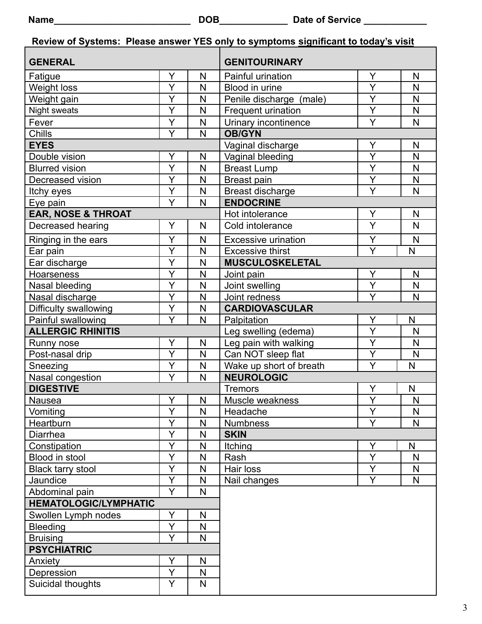|                                         |                   |                       | Review of Systems: Please answer YES only to symptoms significant to today's visit |                |                |  |  |  |
|-----------------------------------------|-------------------|-----------------------|------------------------------------------------------------------------------------|----------------|----------------|--|--|--|
| <b>GENERAL</b>                          |                   |                       | <b>GENITOURINARY</b>                                                               |                |                |  |  |  |
| Fatigue                                 | Y                 | N                     | Painful urination                                                                  | Y              | N              |  |  |  |
| Weight loss                             | Y                 | N                     | Blood in urine                                                                     | Ÿ              | N              |  |  |  |
| $\overline{Y}$<br>Weight gain           |                   | N                     | Penile discharge (male)                                                            | $\overline{Y}$ | $\mathsf{N}$   |  |  |  |
| Night sweats                            | Y                 | N                     | Frequent urination                                                                 | Y              | N              |  |  |  |
| Fever                                   | Y                 | N                     | Urinary incontinence                                                               | Y              | N              |  |  |  |
| Chills                                  | Y                 | N                     | <b>OB/GYN</b>                                                                      | Y              |                |  |  |  |
| <b>EYES</b>                             |                   |                       | Vaginal discharge                                                                  | N              |                |  |  |  |
| Double vision                           | Y                 | N                     | Vaginal bleeding                                                                   | Y              | N              |  |  |  |
| <b>Blurred vision</b>                   | Y                 | N                     | <b>Breast Lump</b>                                                                 | Y              | N              |  |  |  |
| Decreased vision                        | Y                 | N                     | Breast pain                                                                        | Y              | $\mathsf{N}$   |  |  |  |
| Itchy eyes                              | Y                 | N                     | Breast discharge                                                                   | Y              | N              |  |  |  |
| Eye pain                                | Y                 | $\mathsf{N}$          | <b>ENDOCRINE</b>                                                                   |                |                |  |  |  |
| <b>EAR, NOSE &amp; THROAT</b>           |                   |                       | Hot intolerance                                                                    | Υ              | N              |  |  |  |
| Decreased hearing                       | Y                 | N                     | Cold intolerance                                                                   | Ÿ              | $\mathsf{N}$   |  |  |  |
| Ringing in the ears                     | Y                 | $\mathsf{N}$          | Excessive urination                                                                | Y              | N              |  |  |  |
| Ear pain                                | Y                 | $\mathsf{N}$          | <b>Excessive thirst</b>                                                            | Y              | N              |  |  |  |
| Ear discharge                           | Y                 | N                     | <b>MUSCULOSKELETAL</b>                                                             |                |                |  |  |  |
| <b>Hoarseness</b>                       | $\overline{Y}$    | N                     | Joint pain                                                                         | Y              | $\mathsf{N}$   |  |  |  |
| Nasal bleeding                          | Y                 | N                     | Joint swelling                                                                     | Y              | N              |  |  |  |
| Nasal discharge                         | Ÿ                 | $\mathsf{N}$          | Joint redness                                                                      | Y              | N              |  |  |  |
| Difficulty swallowing                   | Y                 | N                     | <b>CARDIOVASCULAR</b>                                                              |                |                |  |  |  |
| Y<br>$\mathsf{N}$<br>Painful swallowing |                   | Y<br>N<br>Palpitation |                                                                                    |                |                |  |  |  |
| <b>ALLERGIC RHINITIS</b>                |                   |                       | Leg swelling (edema)                                                               | Y              | $\mathsf{N}$   |  |  |  |
| Runny nose                              | Y                 | N                     | Leg pain with walking                                                              | Y              | N              |  |  |  |
| Post-nasal drip                         | $\overline{Y}$    | $\mathsf{N}$          | Can NOT sleep flat                                                                 | $\overline{Y}$ | N              |  |  |  |
| Sneezing                                | Y<br>N            |                       | Wake up short of breath                                                            | Y              | N              |  |  |  |
| Nasal congestion                        | Ÿ                 | $\mathsf{N}$          | <b>NEUROLOGIC</b>                                                                  |                |                |  |  |  |
| <b>DIGESTIVE</b>                        |                   |                       | <b>Tremors</b><br>Y<br>N                                                           |                |                |  |  |  |
| Nausea                                  | Y                 | N                     | Muscle weakness                                                                    | Y              | N              |  |  |  |
| Vomiting                                | Y                 | N                     | Headache                                                                           | Y              | N              |  |  |  |
| Heartburn                               | Y                 | N                     | <b>Numbness</b>                                                                    | Y              | N              |  |  |  |
| Diarrhea                                | Y                 | $\mathsf{N}$          | <b>SKIN</b>                                                                        |                |                |  |  |  |
| Constipation                            | Y                 | N                     | Itching                                                                            | Y              | N              |  |  |  |
| Blood in stool                          | Y                 | $\mathsf{N}$          | Rash                                                                               | Y              | N              |  |  |  |
| Black tarry stool                       | Y                 | N                     | Hair loss                                                                          | Y              | N              |  |  |  |
| Jaundice                                | Y                 | $\mathsf{N}$          | Nail changes                                                                       | Y              | N <sub>1</sub> |  |  |  |
| Abdominal pain                          | Y                 | N                     |                                                                                    |                |                |  |  |  |
| <b>HEMATOLOGIC/LYMPHATIC</b>            |                   |                       |                                                                                    |                |                |  |  |  |
| Swollen Lymph nodes                     | Y                 | N                     |                                                                                    |                |                |  |  |  |
| Y<br><b>Bleeding</b><br>N               |                   |                       |                                                                                    |                |                |  |  |  |
| <b>Bruising</b>                         | Y<br>$\mathsf{N}$ |                       |                                                                                    |                |                |  |  |  |
| <b>PSYCHIATRIC</b>                      |                   |                       |                                                                                    |                |                |  |  |  |
| Anxiety                                 | Y                 | $\mathsf{N}$          |                                                                                    |                |                |  |  |  |
| Depression                              | Y                 | N                     |                                                                                    |                |                |  |  |  |
| Suicidal thoughts                       | Y                 | N                     |                                                                                    |                |                |  |  |  |
|                                         |                   |                       |                                                                                    |                |                |  |  |  |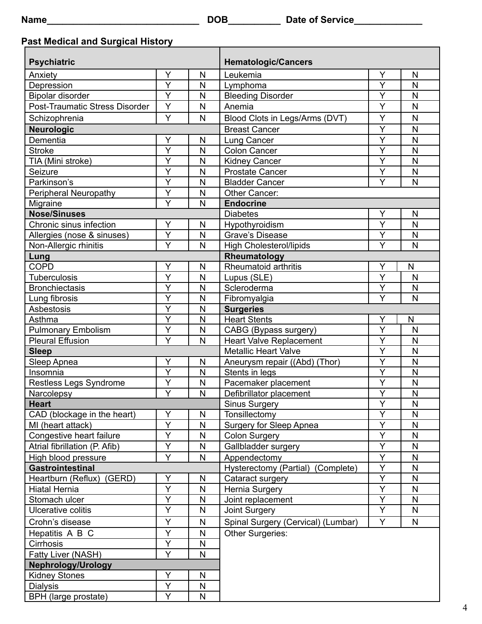## **Past Medical and Surgical History**

| <b>Psychiatric</b>                             |                         |              | <b>Hematologic/Cancers</b>                                  |                         |   |  |  |
|------------------------------------------------|-------------------------|--------------|-------------------------------------------------------------|-------------------------|---|--|--|
| Y<br>Anxiety                                   |                         | $\mathsf{N}$ | Leukemia                                                    | Y                       | N |  |  |
| Depression                                     | $\overline{Y}$<br>N     |              | Lymphoma                                                    | Ý                       | N |  |  |
| <b>Bipolar disorder</b>                        | $\overline{Y}$          | N            | <b>Bleeding Disorder</b>                                    | Ý                       | N |  |  |
| <b>Post-Traumatic Stress Disorder</b>          | Y                       | N            | Anemia                                                      | Y                       | N |  |  |
| Schizophrenia                                  | Y                       | N            | Blood Clots in Legs/Arms (DVT)                              | Y                       | N |  |  |
| <b>Neurologic</b>                              |                         |              | <b>Breast Cancer</b>                                        | Y                       | N |  |  |
| Dementia                                       | Y                       | N            | Lung Cancer                                                 | Y                       | N |  |  |
| <b>Stroke</b>                                  | $\overline{\mathsf{Y}}$ | N            | <b>Colon Cancer</b>                                         | $\overline{\mathsf{Y}}$ | N |  |  |
| TIA (Mini stroke)                              | Ý                       | N            | <b>Kidney Cancer</b>                                        | Ý                       | N |  |  |
| Seizure                                        | Y                       | N            | <b>Prostate Cancer</b>                                      | Y                       | N |  |  |
| Parkinson's                                    | $\overline{\mathsf{Y}}$ | N            | $\overline{Y}$<br>N<br><b>Bladder Cancer</b>                |                         |   |  |  |
| <b>Peripheral Neuropathy</b>                   | Y                       | N            | Other Cancer:                                               |                         |   |  |  |
| Migraine                                       | Y                       | N            | <b>Endocrine</b>                                            |                         |   |  |  |
| <b>Nose/Sinuses</b>                            |                         |              | <b>Diabetes</b>                                             | Y                       | N |  |  |
| Chronic sinus infection                        | Y                       | N            | Hypothyroidism                                              | Ý                       | N |  |  |
| Allergies (nose & sinuses)                     | Y                       | N            | <b>Grave's Disease</b>                                      | $\overline{\mathsf{Y}}$ | N |  |  |
| Non-Allergic rhinitis                          | Y                       | N            | <b>High Cholesterol/lipids</b>                              | Ÿ                       | N |  |  |
| Lung                                           |                         |              | Rheumatology                                                |                         |   |  |  |
| <b>COPD</b>                                    | Υ                       | N            | Rheumatoid arthritis                                        | Υ                       | N |  |  |
| <b>Tuberculosis</b>                            | Y                       | N            | Lupus (SLE)                                                 | Y                       | N |  |  |
| <b>Bronchiectasis</b>                          | Y                       | N            | Scleroderma                                                 | Υ                       | N |  |  |
| Lung fibrosis                                  | Y<br>N                  |              | Ý<br>Fibromyalgia<br>N                                      |                         |   |  |  |
| Asbestosis                                     | $\overline{\mathsf{Y}}$ | N            | <b>Surgeries</b>                                            |                         |   |  |  |
| Asthma                                         | Ý                       | $\mathsf{N}$ | <b>Heart Stents</b>                                         | Y                       | N |  |  |
| <b>Pulmonary Embolism</b>                      | Y                       | $\mathsf{N}$ | CABG (Bypass surgery)                                       | Y                       | N |  |  |
| $\overline{Y}$<br>N<br><b>Pleural Effusion</b> |                         |              | Ÿ<br><b>Heart Valve Replacement</b>                         |                         |   |  |  |
| <b>Sleep</b>                                   |                         |              | $\overline{\mathsf{Y}}$<br><b>Metallic Heart Valve</b><br>N |                         |   |  |  |
| Sleep Apnea                                    | Y                       | N            | Aneurysm repair ((Abd) (Thor)                               | $\overline{\mathsf{Y}}$ | N |  |  |
| Insomnia                                       | Y                       | ${\sf N}$    | Stents in legs                                              | $\overline{\mathsf{Y}}$ | N |  |  |
| Restless Legs Syndrome                         | Y                       | N            | Pacemaker placement                                         | Ý                       | N |  |  |
| Narcolepsy                                     | $\overline{\mathsf{Y}}$ | N            | Defibrillator placement                                     | $\overline{\mathsf{Y}}$ | N |  |  |
| <b>Heart</b>                                   |                         |              | Sinus Surgery                                               | $\overline{Y}$          | N |  |  |
| CAD (blockage in the heart)                    | Υ                       | N            | Tonsillectomy                                               | $\overline{\mathsf{Y}}$ | N |  |  |
| MI (heart attack)                              | Y                       | $\mathsf{N}$ | <b>Surgery for Sleep Apnea</b>                              | Y                       | N |  |  |
| Congestive heart failure                       | Y                       | N            | <b>Colon Surgery</b>                                        | Y                       | N |  |  |
| Atrial fibrillation (P. Afib)                  | $\overline{Y}$          | ${\sf N}$    | Gallbladder surgery                                         | $\overline{Y}$          | N |  |  |
| High blood pressure                            | Y                       | N            | Appendectomy                                                | Y                       | N |  |  |
| <b>Gastrointestinal</b>                        |                         |              | Hysterectomy (Partial) (Complete)                           | Y                       | N |  |  |
| Heartburn (Reflux)<br>(GERD)                   | Y                       | $\mathsf{N}$ | Cataract surgery                                            | $\overline{\mathsf{Y}}$ | N |  |  |
| Hiatal Hernia                                  | Y                       | ${\sf N}$    | Hernia Surgery                                              | Y                       | N |  |  |
| Stomach ulcer                                  | Y                       | N            | Joint replacement                                           | Y                       | N |  |  |
| Ulcerative colitis                             | Y                       | N            | Joint Surgery                                               | Ÿ                       | N |  |  |
| Crohn's disease                                | Y                       | ${\sf N}$    | Spinal Surgery (Cervical) (Lumbar)                          | Y                       | N |  |  |
| Hepatitis A B C                                | Y                       | N            | Other Surgeries:                                            |                         |   |  |  |
| Cirrhosis                                      | Y                       | N            |                                                             |                         |   |  |  |
| Y<br>Fatty Liver (NASH)                        |                         | N            |                                                             |                         |   |  |  |
| <b>Nephrology/Urology</b>                      |                         |              |                                                             |                         |   |  |  |
| <b>Kidney Stones</b>                           | Y                       | N            |                                                             |                         |   |  |  |
| <b>Dialysis</b>                                | Y                       | N            |                                                             |                         |   |  |  |
| BPH (large prostate)                           | Y                       | N            |                                                             |                         |   |  |  |